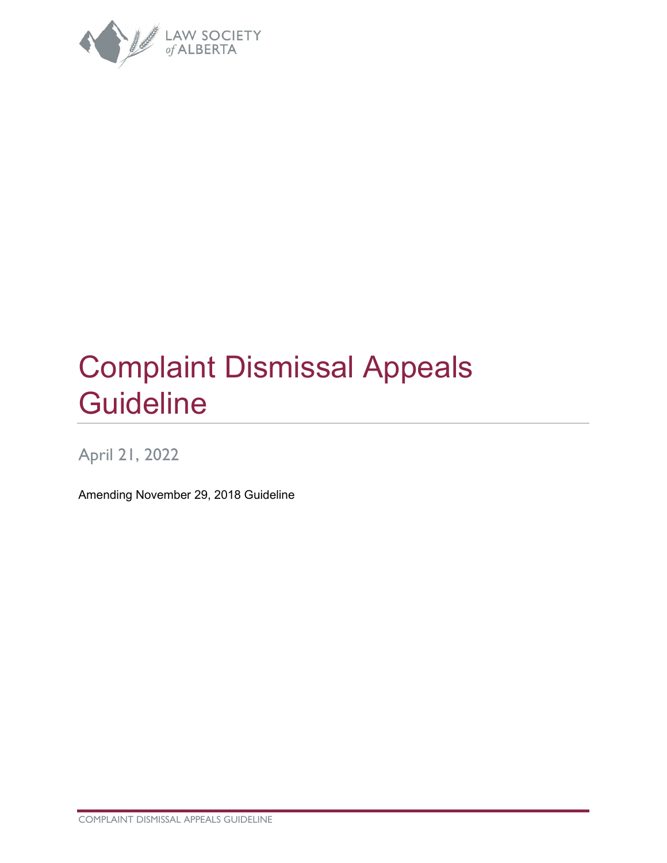

# Complaint Dismissal Appeals **Guideline**

## April 21, 2022

Amending November 29, 2018 Guideline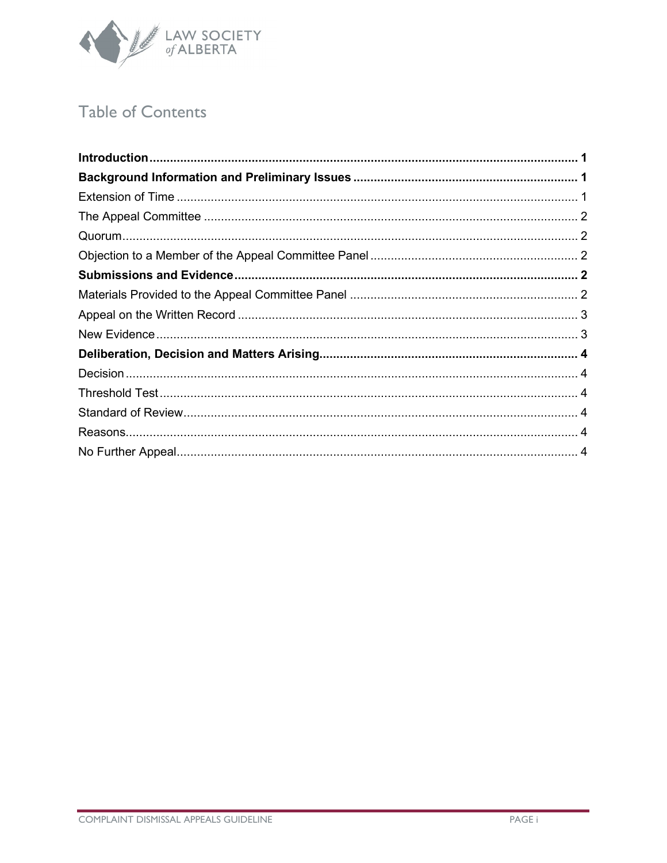

## **Table of Contents**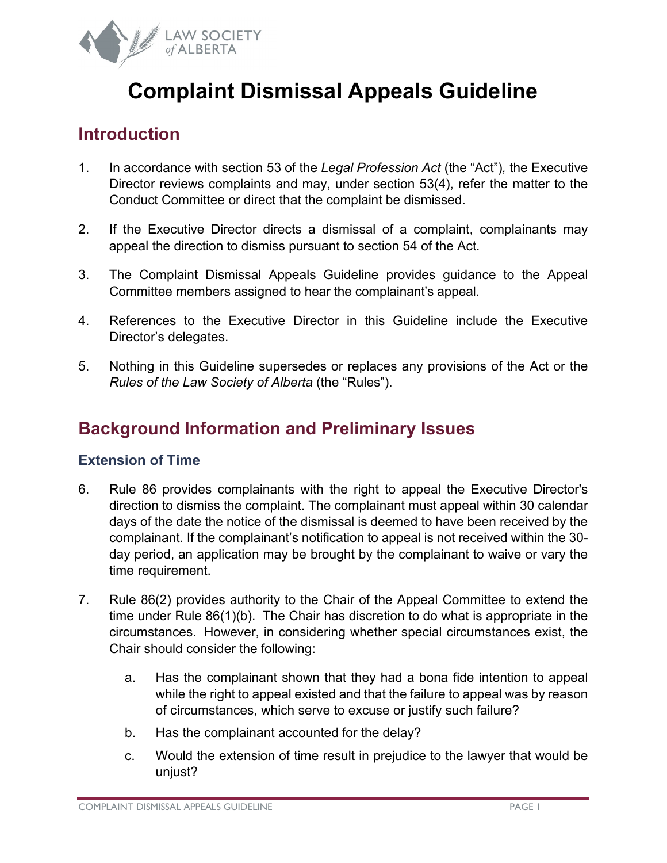

## **Complaint Dismissal Appeals Guideline**

## <span id="page-2-0"></span>**Introduction**

- 1. In accordance with section 53 of the *Legal Profession Act* (the "Act")*,* the Executive Director reviews complaints and may, under section 53(4), refer the matter to the Conduct Committee or direct that the complaint be dismissed.
- 2. If the Executive Director directs a dismissal of a complaint, complainants may appeal the direction to dismiss pursuant to section 54 of the Act.
- 3. The Complaint Dismissal Appeals Guideline provides guidance to the Appeal Committee members assigned to hear the complainant's appeal.
- 4. References to the Executive Director in this Guideline include the Executive Director's delegates.
- 5. Nothing in this Guideline supersedes or replaces any provisions of the Act or the *Rules of the Law Society of Alberta* (the "Rules").

## <span id="page-2-1"></span>**Background Information and Preliminary Issues**

## <span id="page-2-2"></span>**Extension of Time**

- 6. Rule 86 provides complainants with the right to appeal the Executive Director's direction to dismiss the complaint. The complainant must appeal within 30 calendar days of the date the notice of the dismissal is deemed to have been received by the complainant. If the complainant's notification to appeal is not received within the 30 day period, an application may be brought by the complainant to waive or vary the time requirement.
- 7. Rule 86(2) provides authority to the Chair of the Appeal Committee to extend the time under Rule 86(1)(b). The Chair has discretion to do what is appropriate in the circumstances. However, in considering whether special circumstances exist, the Chair should consider the following:
	- a. Has the complainant shown that they had a bona fide intention to appeal while the right to appeal existed and that the failure to appeal was by reason of circumstances, which serve to excuse or justify such failure?
	- b. Has the complainant accounted for the delay?
	- c. Would the extension of time result in prejudice to the lawyer that would be unjust?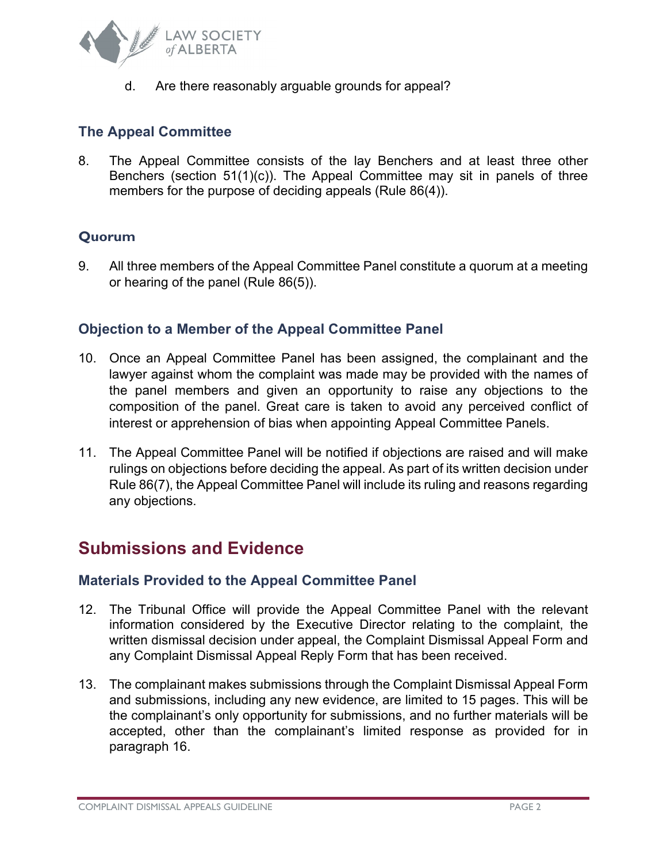

d. Are there reasonably arguable grounds for appeal?

## <span id="page-3-0"></span>**The Appeal Committee**

8. The Appeal Committee consists of the lay Benchers and at least three other Benchers (section 51(1)(c)). The Appeal Committee may sit in panels of three members for the purpose of deciding appeals (Rule 86(4)).

## <span id="page-3-1"></span>**Quorum**

9. All three members of the Appeal Committee Panel constitute a quorum at a meeting or hearing of the panel (Rule 86(5)).

#### <span id="page-3-2"></span>**Objection to a Member of the Appeal Committee Panel**

- 10. Once an Appeal Committee Panel has been assigned, the complainant and the lawyer against whom the complaint was made may be provided with the names of the panel members and given an opportunity to raise any objections to the composition of the panel. Great care is taken to avoid any perceived conflict of interest or apprehension of bias when appointing Appeal Committee Panels.
- 11. The Appeal Committee Panel will be notified if objections are raised and will make rulings on objections before deciding the appeal. As part of its written decision under Rule 86(7), the Appeal Committee Panel will include its ruling and reasons regarding any objections.

## <span id="page-3-3"></span>**Submissions and Evidence**

#### <span id="page-3-4"></span>**Materials Provided to the Appeal Committee Panel**

- 12. The Tribunal Office will provide the Appeal Committee Panel with the relevant information considered by the Executive Director relating to the complaint, the written dismissal decision under appeal, the Complaint Dismissal Appeal Form and any Complaint Dismissal Appeal Reply Form that has been received.
- 13. The complainant makes submissions through the Complaint Dismissal Appeal Form and submissions, including any new evidence, are limited to 15 pages. This will be the complainant's only opportunity for submissions, and no further materials will be accepted, other than the complainant's limited response as provided for in paragraph 16.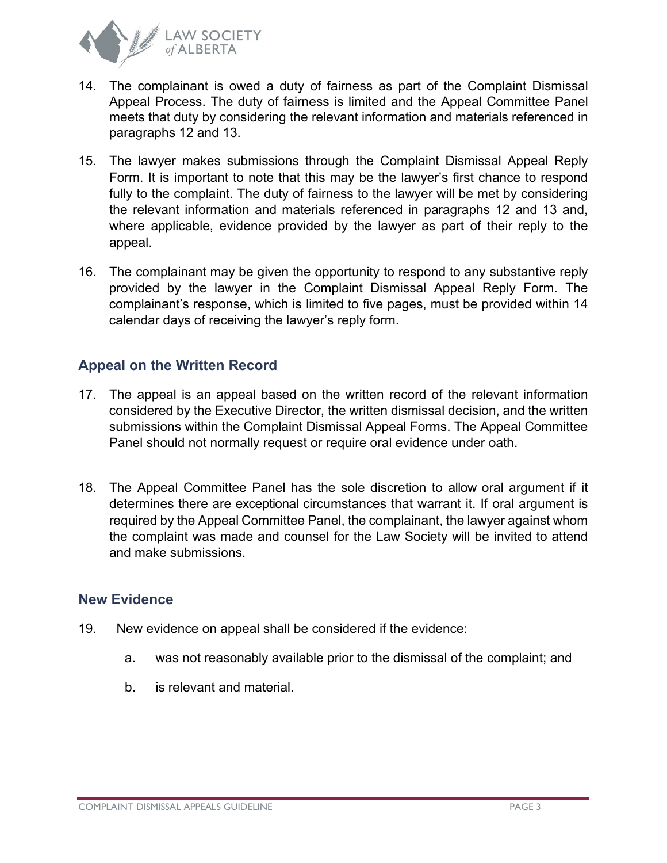

- 14. The complainant is owed a duty of fairness as part of the Complaint Dismissal Appeal Process. The duty of fairness is limited and the Appeal Committee Panel meets that duty by considering the relevant information and materials referenced in paragraphs 12 and 13.
- 15. The lawyer makes submissions through the Complaint Dismissal Appeal Reply Form. It is important to note that this may be the lawyer's first chance to respond fully to the complaint. The duty of fairness to the lawyer will be met by considering the relevant information and materials referenced in paragraphs 12 and 13 and, where applicable, evidence provided by the lawyer as part of their reply to the appeal.
- 16. The complainant may be given the opportunity to respond to any substantive reply provided by the lawyer in the Complaint Dismissal Appeal Reply Form. The complainant's response, which is limited to five pages, must be provided within 14 calendar days of receiving the lawyer's reply form.

## <span id="page-4-0"></span>**Appeal on the Written Record**

- 17. The appeal is an appeal based on the written record of the relevant information considered by the Executive Director, the written dismissal decision, and the written submissions within the Complaint Dismissal Appeal Forms. The Appeal Committee Panel should not normally request or require oral evidence under oath.
- 18. The Appeal Committee Panel has the sole discretion to allow oral argument if it determines there are exceptional circumstances that warrant it. If oral argument is required by the Appeal Committee Panel, the complainant, the lawyer against whom the complaint was made and counsel for the Law Society will be invited to attend and make submissions.

#### <span id="page-4-1"></span>**New Evidence**

- 19. New evidence on appeal shall be considered if the evidence:
	- a. was not reasonably available prior to the dismissal of the complaint; and
	- b. is relevant and material.